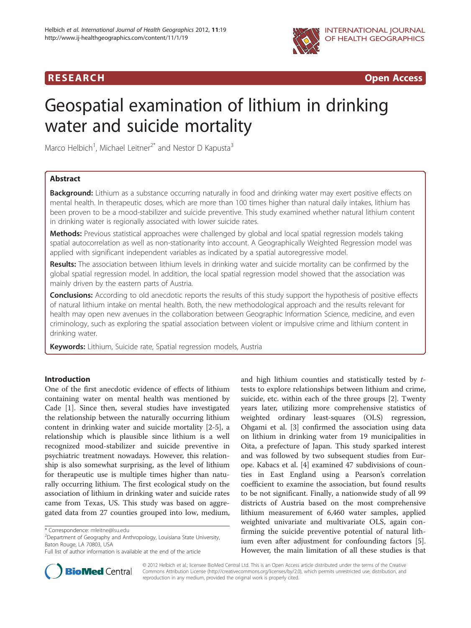



# Geospatial examination of lithium in drinking water and suicide mortality

Marco Helbich<sup>1</sup>, Michael Leitner<sup>2\*</sup> and Nestor D Kapusta<sup>3</sup>

# Abstract

**Background:** Lithium as a substance occurring naturally in food and drinking water may exert positive effects on mental health. In therapeutic doses, which are more than 100 times higher than natural daily intakes, lithium has been proven to be a mood-stabilizer and suicide preventive. This study examined whether natural lithium content in drinking water is regionally associated with lower suicide rates.

Methods: Previous statistical approaches were challenged by global and local spatial regression models taking spatial autocorrelation as well as non-stationarity into account. A Geographically Weighted Regression model was applied with significant independent variables as indicated by a spatial autoregressive model.

Results: The association between lithium levels in drinking water and suicide mortality can be confirmed by the global spatial regression model. In addition, the local spatial regression model showed that the association was mainly driven by the eastern parts of Austria.

**Conclusions:** According to old anecdotic reports the results of this study support the hypothesis of positive effects of natural lithium intake on mental health. Both, the new methodological approach and the results relevant for health may open new avenues in the collaboration between Geographic Information Science, medicine, and even criminology, such as exploring the spatial association between violent or impulsive crime and lithium content in drinking water.

Keywords: Lithium, Suicide rate, Spatial regression models, Austria

# Introduction

One of the first anecdotic evidence of effects of lithium containing water on mental health was mentioned by Cade [\[1](#page-7-0)]. Since then, several studies have investigated the relationship between the naturally occurring lithium content in drinking water and suicide mortality [[2-5\]](#page-7-0), a relationship which is plausible since lithium is a well recognized mood-stabilizer and suicide preventive in psychiatric treatment nowadays. However, this relationship is also somewhat surprising, as the level of lithium for therapeutic use is multiple times higher than naturally occurring lithium. The first ecological study on the association of lithium in drinking water and suicide rates came from Texas, US. This study was based on aggregated data from 27 counties grouped into low, medium,





© 2012 Helbich et al.; licensee BioMed Central Ltd. This is an Open Access article distributed under the terms of the Creative Commons Attribution License [\(http://creativecommons.org/licenses/by/2.0\)](http://creativecommons.org/licenses/by/2.0), which permits unrestricted use, distribution, and reproduction in any medium, provided the original work is properly cited.

<sup>\*</sup> Correspondence: [mleitne@lsu.edu](mailto:mleitne@lsu.edu) <sup>2</sup>

<sup>&</sup>lt;sup>2</sup>Department of Geography and Anthropology, Louisiana State University, Baton Rouge, LA 70803, USA

Full list of author information is available at the end of the article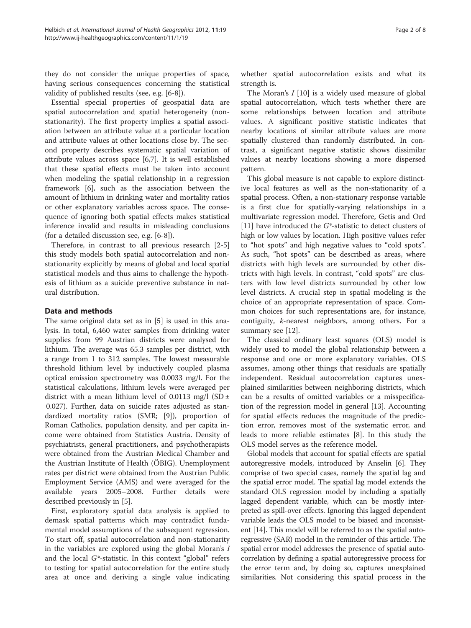they do not consider the unique properties of space, having serious consequences concerning the statistical validity of published results (see, e.g. [\[6](#page-7-0)-[8\]](#page-7-0)).

Essential special properties of geospatial data are spatial autocorrelation and spatial heterogeneity (nonstationarity). The first property implies a spatial association between an attribute value at a particular location and attribute values at other locations close by. The second property describes systematic spatial variation of attribute values across space [\[6,7](#page-7-0)]. It is well established that these spatial effects must be taken into account when modeling the spatial relationship in a regression framework [\[6](#page-7-0)], such as the association between the amount of lithium in drinking water and mortality ratios or other explanatory variables across space. The consequence of ignoring both spatial effects makes statistical inference invalid and results in misleading conclusions (for a detailed discussion see, e.g. [[6-8](#page-7-0)]).

Therefore, in contrast to all previous research [[2-5](#page-7-0)] this study models both spatial autocorrelation and nonstationarity explicitly by means of global and local spatial statistical models and thus aims to challenge the hypothesis of lithium as a suicide preventive substance in natural distribution.

# Data and methods

The same original data set as in [\[5](#page-7-0)] is used in this analysis. In total, 6,460 water samples from drinking water supplies from 99 Austrian districts were analysed for lithium. The average was 65.3 samples per district, with a range from 1 to 312 samples. The lowest measurable threshold lithium level by inductively coupled plasma optical emission spectrometry was 0.0033 mg/l. For the statistical calculations, lithium levels were averaged per district with a mean lithium level of 0.0113 mg/l (SD  $\pm$ 0.027). Further, data on suicide rates adjusted as standardized mortality ratios (SMR; [[9\]](#page-7-0)), proportion of Roman Catholics, population density, and per capita income were obtained from Statistics Austria. Density of psychiatrists, general practitioners, and psychotherapists were obtained from the Austrian Medical Chamber and the Austrian Institute of Health (ÖBIG). Unemployment rates per district were obtained from the Austrian Public Employment Service (AMS) and were averaged for the available years 2005–2008. Further details were described previously in [\[5\]](#page-7-0).

First, exploratory spatial data analysis is applied to demask spatial patterns which may contradict fundamental model assumptions of the subsequent regression. To start off, spatial autocorrelation and non-stationarity in the variables are explored using the global Moran's I and the local  $G^*$ -statistic. In this context "global" refers to testing for spatial autocorrelation for the entire study area at once and deriving a single value indicating

whether spatial autocorrelation exists and what its strength is.

The Moran's I [[10\]](#page-7-0) is a widely used measure of global spatial autocorrelation, which tests whether there are some relationships between location and attribute values. A significant positive statistic indicates that nearby locations of similar attribute values are more spatially clustered than randomly distributed. In contrast, a significant negative statistic shows dissimilar values at nearby locations showing a more dispersed pattern.

This global measure is not capable to explore distinctive local features as well as the non-stationarity of a spatial process. Often, a non-stationary response variable is a first clue for spatially-varying relationships in a multivariate regression model. Therefore, Getis and Ord [[11\]](#page-7-0) have introduced the G\*-statistic to detect clusters of high or low values by location. High positive values refer to "hot spots" and high negative values to "cold spots". As such, "hot spots" can be described as areas, where districts with high levels are surrounded by other districts with high levels. In contrast, "cold spots" are clusters with low level districts surrounded by other low level districts. A crucial step in spatial modeling is the choice of an appropriate representation of space. Common choices for such representations are, for instance, contiguity, k-nearest neighbors, among others. For a summary see [\[12](#page-7-0)].

The classical ordinary least squares (OLS) model is widely used to model the global relationship between a response and one or more explanatory variables. OLS assumes, among other things that residuals are spatially independent. Residual autocorrelation captures unexplained similarities between neighboring districts, which can be a results of omitted variables or a misspecification of the regression model in general [[13\]](#page-7-0). Accounting for spatial effects reduces the magnitude of the prediction error, removes most of the systematic error, and leads to more reliable estimates [\[8](#page-7-0)]. In this study the OLS model serves as the reference model.

Global models that account for spatial effects are spatial autoregressive models, introduced by Anselin [\[6](#page-7-0)]. They comprise of two special cases, namely the spatial lag and the spatial error model. The spatial lag model extends the standard OLS regression model by including a spatially lagged dependent variable, which can be mostly interpreted as spill-over effects. Ignoring this lagged dependent variable leads the OLS model to be biased and inconsistent [\[14\]](#page-7-0). This model will be referred to as the spatial autoregressive (SAR) model in the reminder of this article. The spatial error model addresses the presence of spatial autocorrelation by defining a spatial autoregressive process for the error term and, by doing so, captures unexplained similarities. Not considering this spatial process in the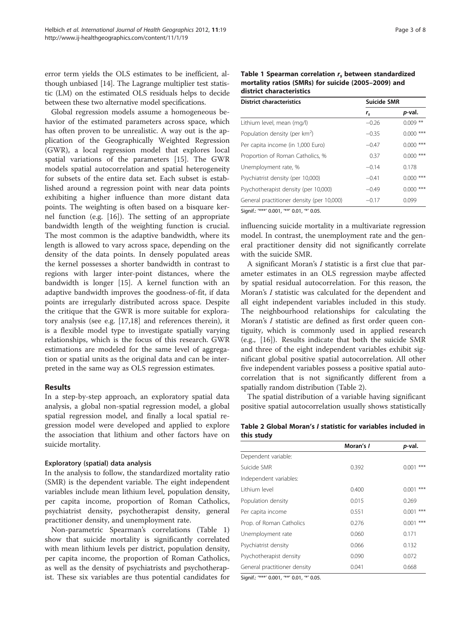error term yields the OLS estimates to be inefficient, although unbiased [\[14\]](#page-7-0). The Lagrange multiplier test statistic (LM) on the estimated OLS residuals helps to decide between these two alternative model specifications.

Global regression models assume a homogeneous behavior of the estimated parameters across space, which has often proven to be unrealistic. A way out is the application of the Geographically Weighted Regression (GWR), a local regression model that explores local spatial variations of the parameters [\[15](#page-7-0)]. The GWR models spatial autocorrelation and spatial heterogeneity for subsets of the entire data set. Each subset is established around a regression point with near data points exhibiting a higher influence than more distant data points. The weighting is often based on a bisquare kernel function (e.g. [\[16](#page-7-0)]). The setting of an appropriate bandwidth length of the weighting function is crucial. The most common is the adaptive bandwidth, where its length is allowed to vary across space, depending on the density of the data points. In densely populated areas the kernel possesses a shorter bandwidth in contrast to regions with larger inter-point distances, where the bandwidth is longer [[15](#page-7-0)]. A kernel function with an adaptive bandwidth improves the goodness-of-fit, if data points are irregularly distributed across space. Despite the critique that the GWR is more suitable for exploratory analysis (see e.g. [[17,18\]](#page-7-0) and references therein), it is a flexible model type to investigate spatially varying relationships, which is the focus of this research. GWR estimations are modeled for the same level of aggregation or spatial units as the original data and can be interpreted in the same way as OLS regression estimates.

# Results

In a step-by-step approach, an exploratory spatial data analysis, a global non-spatial regression model, a global spatial regression model, and finally a local spatial regression model were developed and applied to explore the association that lithium and other factors have on suicide mortality.

# Exploratory (spatial) data analysis

In the analysis to follow, the standardized mortality ratio (SMR) is the dependent variable. The eight independent variables include mean lithium level, population density, per capita income, proportion of Roman Catholics, psychiatrist density, psychotherapist density, general practitioner density, and unemployment rate.

Non-parametric Spearman's correlations (Table 1) show that suicide mortality is significantly correlated with mean lithium levels per district, population density, per capita income, the proportion of Roman Catholics, as well as the density of psychiatrists and psychotherapist. These six variables are thus potential candidates for

| Table 1 Spearman correlation r. between standardized |
|------------------------------------------------------|
| mortality ratios (SMRs) for suicide (2005–2009) and  |
| district characteristics                             |

| <b>District characteristics</b>           | <b>Suicide SMR</b> |                |  |  |
|-------------------------------------------|--------------------|----------------|--|--|
|                                           | r,                 | p-val.         |  |  |
| Lithium level, mean (mg/l)                | $-0.26$            | $0.009$ **     |  |  |
| Population density (per $km^2$ )          | $-0.35$            | $***$<br>0.000 |  |  |
| Per capita income (in 1,000 Euro)         | $-0.47$            | $0.000$ ***    |  |  |
| Proportion of Roman Catholics, %          | 0.37               | $***$<br>0.000 |  |  |
| Unemployment rate, %                      | $-0.14$            | 0.178          |  |  |
| Psychiatrist density (per 10,000)         | $-0.41$            | $***$<br>0.000 |  |  |
| Psychotherapist density (per 10,000)      | $-0.49$            | $***$<br>0.000 |  |  |
| General practitioner density (per 10,000) | $-0.17$            | 0.099          |  |  |

Signif.: '\*\*\*' 0.001, '\*\*' 0.01, '\*' 0.05.

influencing suicide mortality in a multivariate regression model. In contrast, the unemployment rate and the general practitioner density did not significantly correlate with the suicide SMR.

A significant Moran's I statistic is a first clue that parameter estimates in an OLS regression maybe affected by spatial residual autocorrelation. For this reason, the Moran's I statistic was calculated for the dependent and all eight independent variables included in this study. The neighbourhood relationships for calculating the Moran's I statistic are defined as first order queen contiguity, which is commonly used in applied research (e.g., [\[16](#page-7-0)]). Results indicate that both the suicide SMR and three of the eight independent variables exhibit significant global positive spatial autocorrelation. All other five independent variables possess a positive spatial autocorrelation that is not significantly different from a spatially random distribution (Table 2).

The spatial distribution of a variable having significant positive spatial autocorrelation usually shows statistically

Table 2 Global Moran's I statistic for variables included in this study

|                              | Moran's I | p-val.         |
|------------------------------|-----------|----------------|
| Dependent variable:          |           |                |
| Suicide SMR                  | 0.392     | ***<br>0.00.   |
| Independent variables:       |           |                |
| I ithium level               | 0.400     | $***$<br>0.001 |
| Population density           | 0.015     | 0.269          |
| Per capita income            | 0.551     | $***$<br>0.001 |
| Prop. of Roman Catholics     | 0.276     | $***$<br>0.001 |
| Unemployment rate            | 0.060     | 0.171          |
| Psychiatrist density         | 0.066     | 0.132          |
| Psychotherapist density      | 0.090     | 0.072          |
| General practitioner density | 0.041     | 0.668          |

Signif.: '\*\*\*' 0.001, '\*\*' 0.01, '\*' 0.05.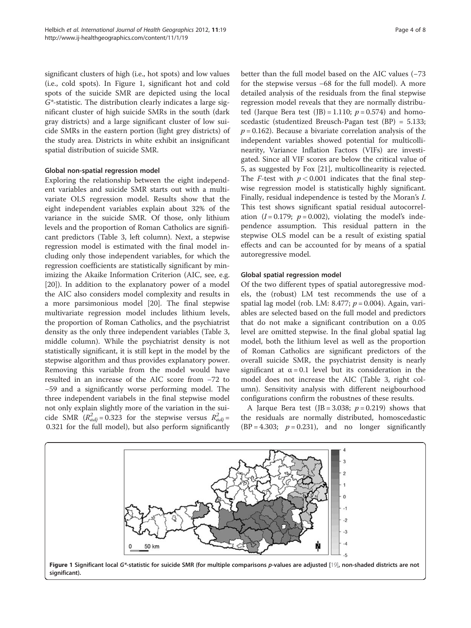significant clusters of high (i.e., hot spots) and low values (i.e., cold spots). In Figure 1, significant hot and cold spots of the suicide SMR are depicted using the local G\*-statistic. The distribution clearly indicates a large significant cluster of high suicide SMRs in the south (dark gray districts) and a large significant cluster of low suicide SMRs in the eastern portion (light grey districts) of the study area. Districts in white exhibit an insignificant spatial distribution of suicide SMR.

## Global non-spatial regression model

Exploring the relationship between the eight independent variables and suicide SMR starts out with a multivariate OLS regression model. Results show that the eight independent variables explain about 32% of the variance in the suicide SMR. Of those, only lithium levels and the proportion of Roman Catholics are significant predictors (Table [3,](#page-4-0) left column). Next, a stepwise regression model is estimated with the final model including only those independent variables, for which the regression coefficients are statistically significant by minimizing the Akaike Information Criterion (AIC, see, e.g. [[20\]](#page-7-0)). In addition to the explanatory power of a model the AIC also considers model complexity and results in a more parsimonious model [[20\]](#page-7-0). The final stepwise multivariate regression model includes lithium levels, the proportion of Roman Catholics, and the psychiatrist density as the only three independent variables (Table [3](#page-4-0), middle column). While the psychiatrist density is not statistically significant, it is still kept in the model by the stepwise algorithm and thus provides explanatory power. Removing this variable from the model would have resulted in an increase of the AIC score from −72 to −59 and a significantly worse performing model. The three independent variabels in the final stepwise model not only explain slightly more of the variation in the suicide SMR  $(R_{adj}^2 = 0.323$  for the stepwise versus  $R_{adj}^2 =$ 0.321 for the full model), but also perform significantly better than the full model based on the AIC values (−73 for the stepwise versus −68 for the full model). A more detailed analysis of the residuals from the final stepwise regression model reveals that they are normally distributed (Jarque Bera test (JB) = 1.110;  $p = 0.574$ ) and homoscedastic (studentized Breusch-Pagan test (BP) = 5.133;  $p = 0.162$ ). Because a bivariate correlation analysis of the independent variables showed potential for multicollinearity, Variance Inflation Factors (VIFs) are investigated. Since all VIF scores are below the critical value of 5, as suggested by Fox [\[21\]](#page-7-0), multicollinearity is rejected. The *F*-test with  $p < 0.001$  indicates that the final stepwise regression model is statistically highly significant. Finally, residual independence is tested by the Moran's I. This test shows significant spatial residual autocorrelation  $(I = 0.179; p = 0.002)$ , violating the model's independence assumption. This residual pattern in the stepwise OLS model can be a result of existing spatial effects and can be accounted for by means of a spatial autoregressive model.

# Global spatial regression model

Of the two different types of spatial autoregressive models, the (robust) LM test recommends the use of a spatial lag model (rob. LM: 8.477;  $p = 0.004$ ). Again, variables are selected based on the full model and predictors that do not make a significant contribution on a 0.05 level are omitted stepwise. In the final global spatial lag model, both the lithium level as well as the proportion of Roman Catholics are significant predictors of the overall suicide SMR, the psychiatrist density is nearly significant at  $\alpha = 0.1$  level but its consideration in the model does not increase the AIC (Table [3](#page-4-0), right column). Sensitivity analysis with different neigbourhood configurations confirm the robustnes of these results.

A Jarque Bera test (JB = 3.038;  $p = 0.219$ ) shows that the residuals are normally distributed, homoscedastic  $(BP = 4.303; p = 0.231)$ , and no longer significantly

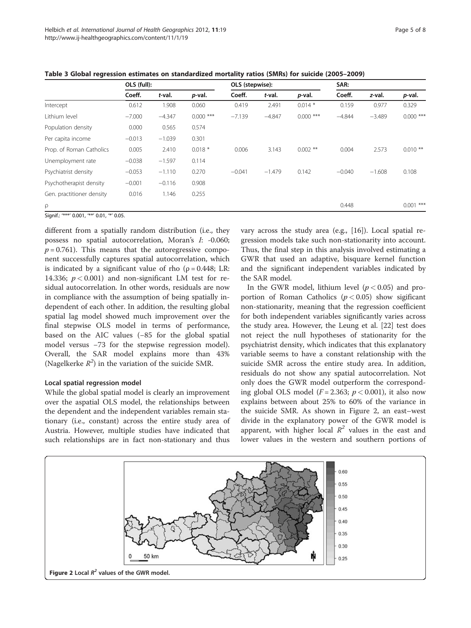<span id="page-4-0"></span>

| Table 3 Global regression estimates on standardized mortality ratios (SMRs) for suicide (2005–2009) |                                                                         |      |
|-----------------------------------------------------------------------------------------------------|-------------------------------------------------------------------------|------|
| $\bigcap_{i=1}^{n}$ $\bigcap_{i=1}^{n}$ $\bigcap_{i=1}^{n}$                                         | $\bigcap_{i=1}^n$ $\bigcap_{i=1}^n$ $\bigcap_{i=1}^n$ $\bigcap_{i=1}^n$ | CAD. |

|                           | OLS (full): |          |             | OLS (stepwise): |          |             | SAR:     |          |             |
|---------------------------|-------------|----------|-------------|-----------------|----------|-------------|----------|----------|-------------|
|                           | Coeff.      | t-val.   | p-val.      | Coeff.          | t-val.   | p-val.      | Coeff.   | z-val.   | p-val.      |
| Intercept                 | 0.612       | 1.908    | 0.060       | 0.419           | 2.491    | $0.014*$    | 0.159    | 0.977    | 0.329       |
| Lithium level             | $-7.000$    | $-4.347$ | $0.000$ *** | $-7.139$        | $-4.847$ | $0.000$ *** | $-4.844$ | $-3.489$ | $0.000$ *** |
| Population density        | 0.000       | 0.565    | 0.574       |                 |          |             |          |          |             |
| Per capita income         | $-0.013$    | $-1.039$ | 0.301       |                 |          |             |          |          |             |
| Prop. of Roman Catholics  | 0.005       | 2.410    | $0.018*$    | 0.006           | 3.143    | $0.002$ **  | 0.004    | 2.573    | $0.010$ **  |
| Unemployment rate         | $-0.038$    | $-1.597$ | 0.114       |                 |          |             |          |          |             |
| Psychiatrist density      | $-0.053$    | $-1.110$ | 0.270       | $-0.041$        | $-1.479$ | 0.142       | $-0.040$ | $-1.608$ | 0.108       |
| Psychotherapist density   | $-0.001$    | $-0.116$ | 0.908       |                 |          |             |          |          |             |
| Gen. practitioner density | 0.016       | 1.146    | 0.255       |                 |          |             |          |          |             |
| ρ                         |             |          |             |                 |          |             | 0.448    |          | $0.001$ *** |

Signif.: '\*\*\*' 0.001, '\*\*' 0.01, '\*' 0.05.

different from a spatially random distribution (i.e., they possess no spatial autocorrelation, Moran's I: -0.060;  $p = 0.761$ ). This means that the autoregressive component successfully captures spatial autocorrelation, which is indicated by a significant value of rho ( $\rho = 0.448$ ; LR: 14.336;  $p < 0.001$ ) and non-significant LM test for residual autocorrelation. In other words, residuals are now in compliance with the assumption of being spatially independent of each other. In addition, the resulting global spatial lag model showed much improvement over the final stepwise OLS model in terms of performance, based on the AIC values (−85 for the global spatial model versus −73 for the stepwise regression model). Overall, the SAR model explains more than 43% (Nagelkerke  $R^2$ ) in the variation of the suicide SMR.

# Local spatial regression model

While the global spatial model is clearly an improvement over the aspatial OLS model, the relationships between the dependent and the independent variables remain stationary (i.e., constant) across the entire study area of Austria. However, multiple studies have indicated that such relationships are in fact non-stationary and thus vary across the study area (e.g., [\[16](#page-7-0)]). Local spatial regression models take such non-stationarity into account. Thus, the final step in this analysis involved estimating a GWR that used an adaptive, bisquare kernel function and the significant independent variables indicated by the SAR model.

In the GWR model, lithium level ( $p < 0.05$ ) and proportion of Roman Catholics ( $p < 0.05$ ) show sigificant non-stationarity, meaning that the regression coefficient for both independent variables significantly varies across the study area. However, the Leung et al. [[22\]](#page-7-0) test does not reject the null hypotheses of stationarity for the psychiatrist density, which indicates that this explanatory variable seems to have a constant relationship with the suicide SMR across the entire study area. In addition, residuals do not show any spatial autocorrelation. Not only does the GWR model outperform the corresponding global OLS model ( $F = 2.363$ ;  $p < 0.001$ ), it also now explains between about 25% to 60% of the variance in the suicide SMR. As shown in Figure 2, an east–west divide in the explanatory power of the GWR model is apparent, with higher local  $R^2$  values in the east and lower values in the western and southern portions of

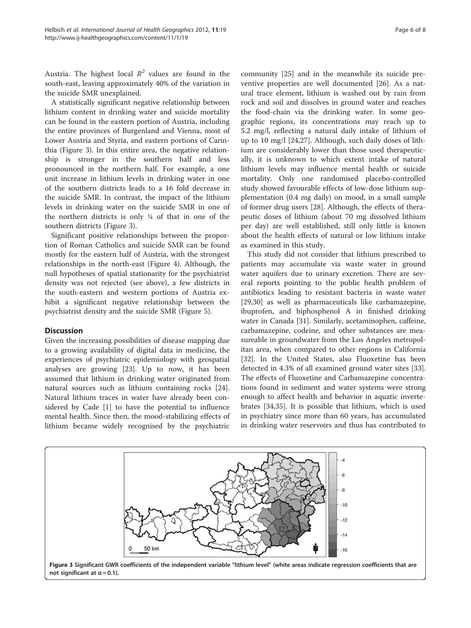Austria. The highest local  $R^2$  values are found in the south-east, leaving approximately 40% of the variation in the suicide SMR unexplained.

A statistically significant negative relationship between lithium content in drinking water and suicide mortality can be found in the eastern portion of Austria, including the entire provinces of Burgenland and Vienna, most of Lower Austria and Styria, and eastern portions of Carinthia (Figure 3). In this entire area, the negative relationship is stronger in the southern half and less pronounced in the northern half. For example, a one unit increase in lithium levels in drinking water in one of the southern districts leads to a 16 fold decrease in the suicide SMR. In contrast, the impact of the lithium levels in drinking water on the suicide SMR in one of the northern districts is only  $\frac{1}{4}$  of that in one of the southern districts (Figure 3).

Significant positive relationships between the proportion of Roman Catholics and suicide SMR can be found mostly for the eastern half of Austria, with the strongest relationships in the north-east (Figure [4](#page-6-0)). Although, the null hypotheses of spatial stationarity for the psychiatrist density was not rejected (see above), a few districts in the south-eastern and western portions of Austria exhibit a significant negative relationship between the psychiatrist density and the suicide SMR (Figure [5\)](#page-6-0).

# **Discussion**

Given the increasing possibilities of disease mapping due to a growing availability of digital data in medicine, the experiences of psychiatric epidemiology with geospatial analyses are growing [[23\]](#page-7-0). Up to now, it has been assumed that lithium in drinking water originated from natural sources such as lithium containing rocks [\[24](#page-7-0)]. Natural lithium traces in water have already been considered by Cade [\[1](#page-7-0)] to have the potential to influence mental health. Since then, the mood-stabilizing effects of lithium became widely recognised by the psychiatric

community [\[25\]](#page-7-0) and in the meanwhile its suicide preventive properties are well documented [\[26\]](#page-7-0). As a natural trace element, lithium is washed out by rain from rock and soil and dissolves in ground water and reaches the food-chain via the drinking water. In some geographic regions, its concentrations may reach up to 5.2 mg/l, reflecting a natural daily intake of lithium of up to 10 mg/l [[24](#page-7-0),[27](#page-7-0)]. Although, such daily doses of lithium are considerably lower than those used therapeutically, it is unknown to which extent intake of natural lithium levels may influence mental health or suicide mortality. Only one randomised placebo-controlled study showed favourable effects of low-dose lithium supplementation (0.4 mg daily) on mood, in a small sample of former drug users [[28\]](#page-7-0). Although, the effects of therapeutic doses of lithium (about 70 mg dissolved lithium per day) are well established, still only little is known about the health effects of natural or low lithium intake as examined in this study.

This study did not consider that lithium prescribed to patients may accumulate via waste water in ground water aquifers due to urinary excretion. There are several reports pointing to the public health problem of antibiotics leading to resistant bacteria in waste water [[29,30\]](#page-7-0) as well as pharmaceuticals like carbamazepine, ibuprofen, and biphosphenol A in finished drinking water in Canada [\[31\]](#page-7-0). Similarly, acetaminophen, caffeine, carbamazepine, codeine, and other substances are measureable in groundwater from the Los Angeles metropolitan area, when compared to other regions in California [[32\]](#page-7-0). In the United States, also Fluoxetine has been detected in 4.3% of all examined ground water sites [\[33](#page-7-0)]. The effects of Fluoxetine and Carbamazepine concentrations found in sediment and water systems were strong enough to affect health and behavior in aquatic invertebrates [\[34,35](#page-7-0)]. It is possible that lithium, which is used in psychiatry since more than 60 years, has accumulated in drinking water reservoirs and thus has contributed to

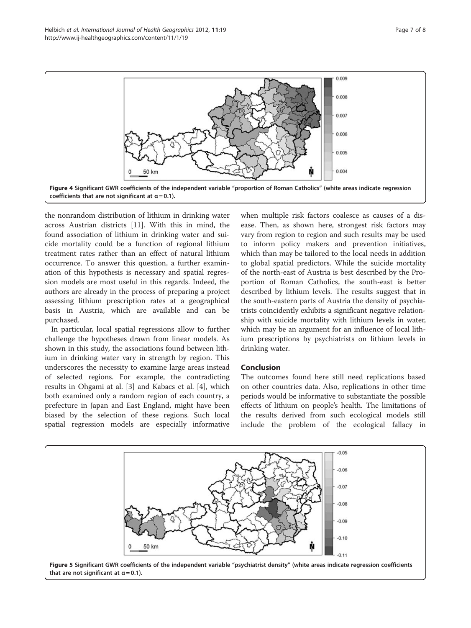<span id="page-6-0"></span>

the nonrandom distribution of lithium in drinking water across Austrian districts [[11](#page-7-0)]. With this in mind, the found association of lithium in drinking water and suicide mortality could be a function of regional lithium treatment rates rather than an effect of natural lithium occurrence. To answer this question, a further examination of this hypothesis is necessary and spatial regression models are most useful in this regards. Indeed, the authors are already in the process of preparing a project assessing lithium prescription rates at a geographical basis in Austria, which are available and can be purchased.

In particular, local spatial regressions allow to further challenge the hypotheses drawn from linear models. As shown in this study, the associations found between lithium in drinking water vary in strength by region. This underscores the necessity to examine large areas instead of selected regions. For example, the contradicting results in Ohgami at al. [\[3](#page-7-0)] and Kabacs et al. [\[4](#page-7-0)], which both examined only a random region of each country, a prefecture in Japan and East England, might have been biased by the selection of these regions. Such local spatial regression models are especially informative when multiple risk factors coalesce as causes of a disease. Then, as shown here, strongest risk factors may vary from region to region and such results may be used to inform policy makers and prevention initiatives, which than may be tailored to the local needs in addition to global spatial predictors. While the suicide mortality of the north-east of Austria is best described by the Proportion of Roman Catholics, the south-east is better described by lithium levels. The results suggest that in the south-eastern parts of Austria the density of psychiatrists coincidently exhibits a significant negative relationship with suicide mortality with lithium levels in water, which may be an argument for an influence of local lithium prescriptions by psychiatrists on lithium levels in drinking water.

# Conclusion

The outcomes found here still need replications based on other countries data. Also, replications in other time periods would be informative to substantiate the possible effects of lithium on people's health. The limitations of the results derived from such ecological models still include the problem of the ecological fallacy in